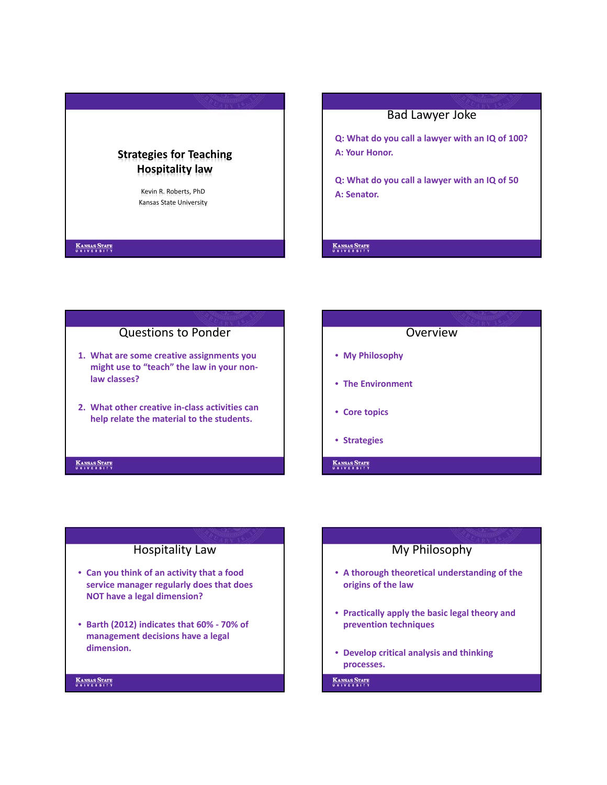

# Bad Lawyer Joke

**Q: What do you call a lawyer with an IQ of 100? A: Your Honor.**

**Q: What do you call a lawyer with an IQ of 50 A: Senator.**

#### **KANSAS STATE**

# Questions to Ponder

- **1. What are some creative assignments you might use to "teach" the law in your non‐ law classes?**
- **2. What other creative in‐class activities can help relate the material to the students.**

#### KANSAS STATE

# **Overview** • **My Philosophy** • **The Environment** • **Core topics**

- **Strategies**
- KANSAS STATE

### Hospitality Law

- **Can you think of an activity that a food service manager regularly does that does NOT have a legal dimension?**
- **Barth (2012) indicates that 60% ‐ 70% of management decisions have a legal dimension.**

#### **KANSAS STATE**

### My Philosophy

- **A thorough theoretical understanding of the origins of the law**
- **Practically apply the basic legal theory and prevention techniques**
- **Develop critical analysis and thinking processes.**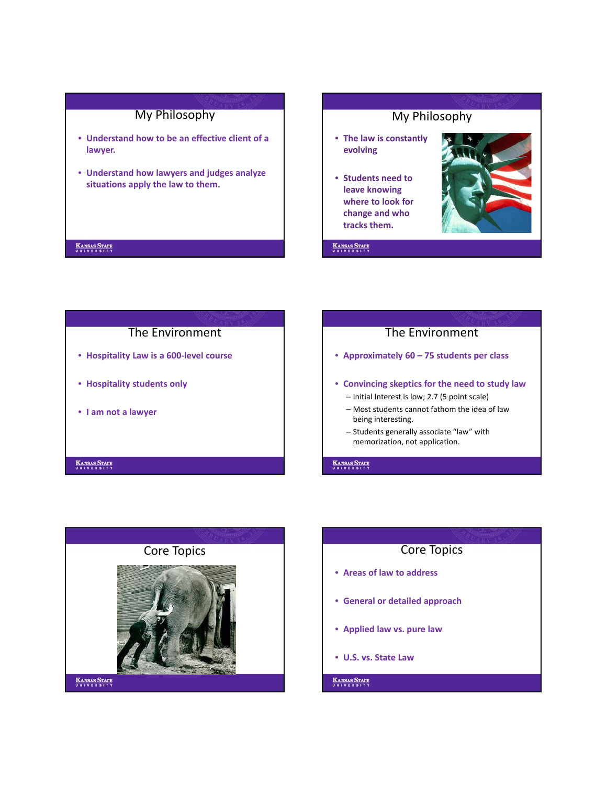# My Philosophy

- **Understand how to be an effective client of a lawyer.**
- **Understand how lawyers and judges analyze situations apply the law to them.**

#### **KANSAS STATE**



**KANSAS STATE** 

# The Environment • **Hospitality Law is a 600‐level course** • **Hospitality students only**

• **I am not a lawyer**

#### **KANSAS STATE**

# The Environment

- **Approximately 60 75 students per class**
- **Convincing skeptics for the need to study law**
	- Initial Interest is low; 2.7 (5 point scale)
	- Most students cannot fathom the idea of law being interesting.
	- Students generally associate "law" with memorization, not application.

#### **KANSAS STATE**



- **Areas of law to address**
- **General or detailed approach**
- **Applied law vs. pure law**
- **U.S. vs. State Law**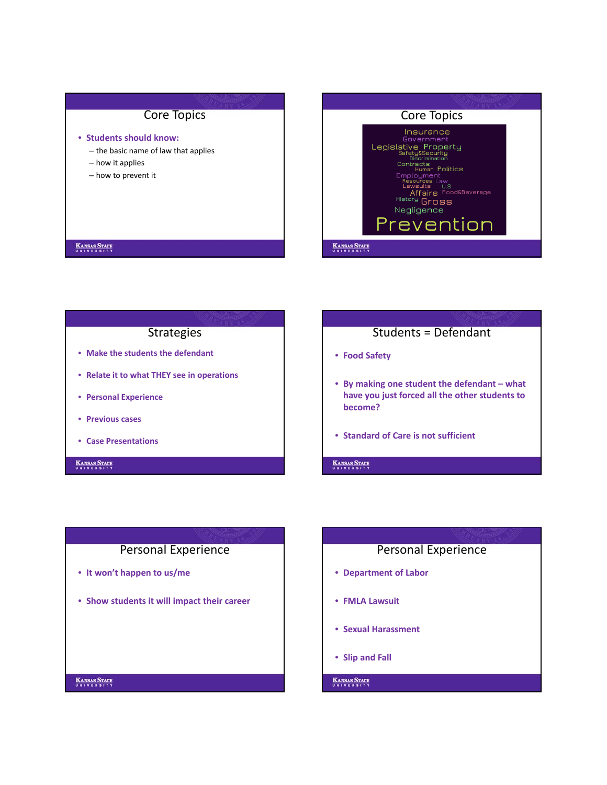### Core Topics

#### • **Students should know:**

- the basic name of law that applies
- how it applies
- how to prevent it



# **KANSAS STATE**

### **Strategies**

- **Make the students the defendant**
- **Relate it to what THEY see in operations**
- **Personal Experience**
- **Previous cases**
- **Case Presentations**

#### **KANSAS STATE**

# Students = Defendant

- **Food Safety**
- **By making one student the defendant what have you just forced all the other students to become?**
- **Standard of Care is not sufficient**

**KANSAS STATE** 

#### Personal Experience

- **It won't happen to us/me**
- **Show students it will impact their career**

### Personal Experience

- **Department of Labor**
- **FMLA Lawsuit**
- **Sexual Harassment**
- **Slip and Fall**

**KANSAS STATE**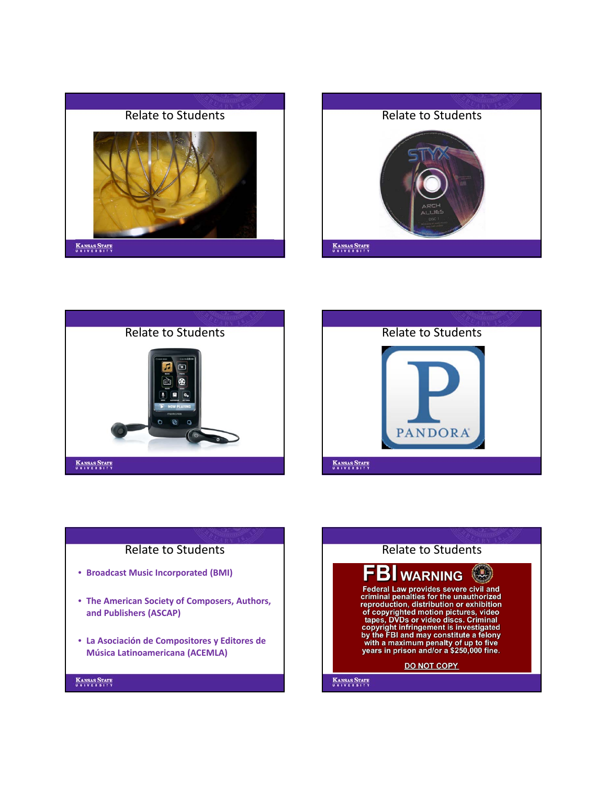







# Relate to Students

- **Broadcast Music Incorporated (BMI)**
- **The American Society of Composers, Authors, and Publishers (ASCAP)**
- **La Asociación de Compositores y Editores de Música Latinoamericana (ACEMLA)**

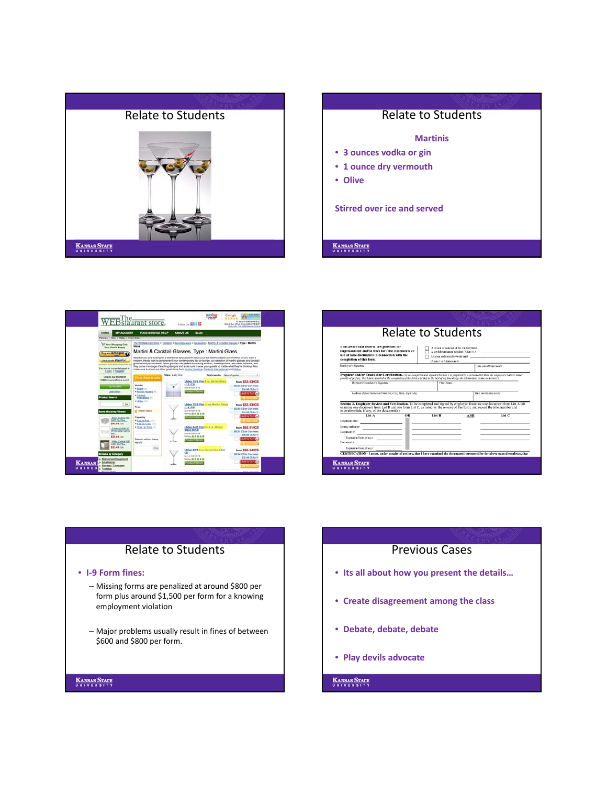





|                                                                                                                                                                               |    | Relate to Students                                                                                                                                     |                                                                                                                                                   |        |
|-------------------------------------------------------------------------------------------------------------------------------------------------------------------------------|----|--------------------------------------------------------------------------------------------------------------------------------------------------------|---------------------------------------------------------------------------------------------------------------------------------------------------|--------|
| I am aware that lederal law provides lor<br>imprisonment and/or fines for false statements or<br>use of false documents in connection with the<br>completion of this form.    |    | A citizen or national of the United States<br>A lawful permanent resident (Alien #) A<br>An alien authorized to work until<br>(Alien # or Admission #) |                                                                                                                                                   |        |
| Employee's Signature                                                                                                                                                          |    | Date (month/der/wer)                                                                                                                                   |                                                                                                                                                   |        |
| Preparer's/Translator's Signature<br>Address (Street Name and Number, City, State, Zip Code)                                                                                  |    | Print Name                                                                                                                                             | Date (month/day/sear)<br>Section 2. Employer Review and Verification. To be completed and signed by employer. Examine one document from List A OR |        |
| examine one document from List B and one from List C, as listed on the reverse of this form, and record the title, number and<br>expiration date, if any, of the document(s). |    |                                                                                                                                                        |                                                                                                                                                   |        |
| List A<br>Document title:<br>Issuing authority:<br>Document #:<br>Expiration Date (of any):                                                                                   | OR | List B                                                                                                                                                 | <b>AND</b>                                                                                                                                        | List C |

# Relate to Students

#### • **I‐9 Form fines:**

- Missing forms are penalized at around \$800 per form plus around \$1,500 per form for a knowing employment violation
- Major problems usually result in fines of between \$600 and \$800 per form.

#### **KANSAS STATE**

#### Previous Cases

- **Its all about how you present the details…**
- **Create disagreement among the class**
- **Debate, debate, debate**
- **Play devils advocate**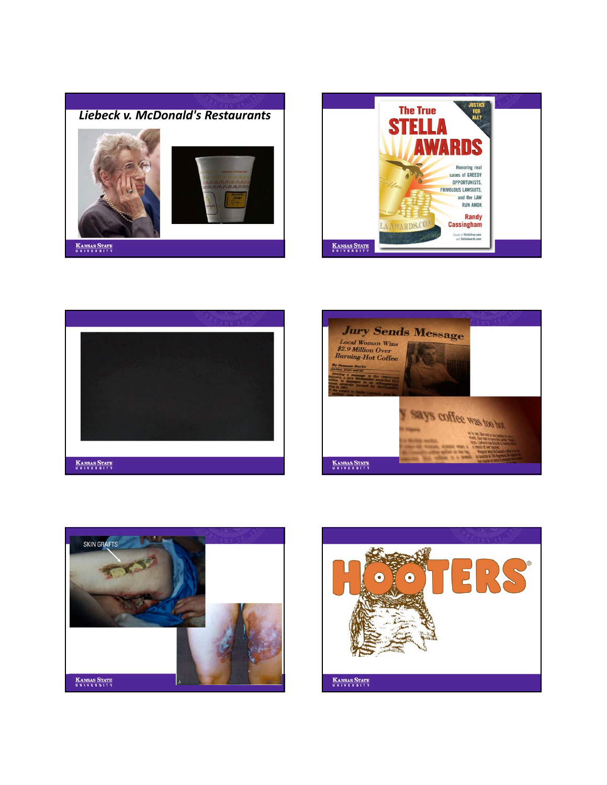









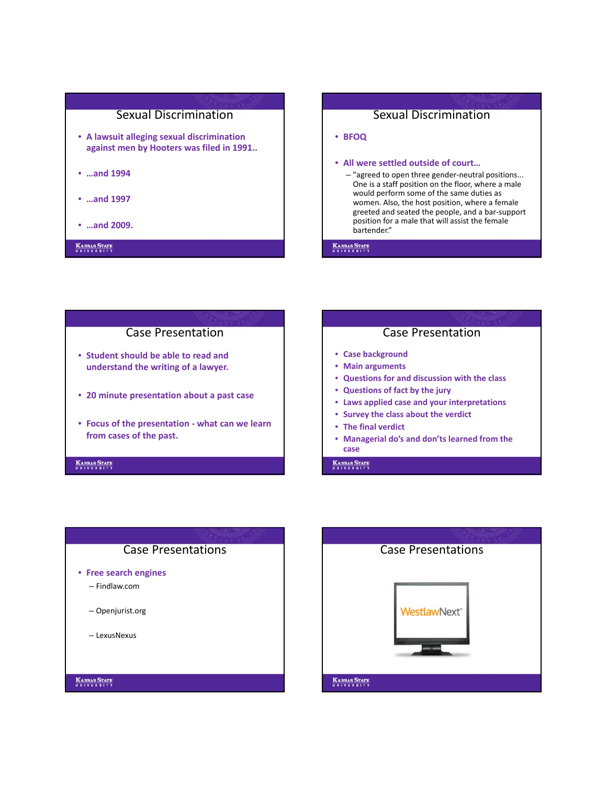

- **A lawsuit alleging sexual discrimination against men by Hooters was filed in 1991..**
- **…and 1994**
- **…and 1997**
- **…and 2009.**

#### **KANSAS STATE**

# Sexual Discrimination • **BFOQ** • **All were settled outside of court…** – "agreed to open three gender‐neutral positions... One is a staff position on the floor, where a male would perform some of the same duties as women. Also, the host position, where a female greeted and seated the people, and a bar‐support position for a male that will assist the female bartender."